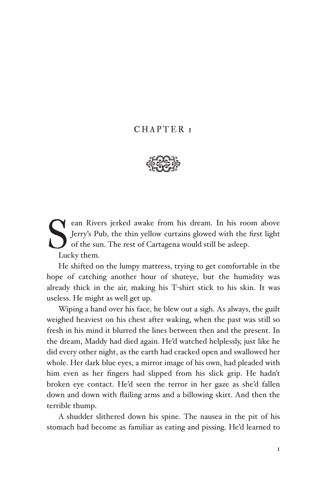# CHAPTER 1



ean Rivers jerked awake from his dream. In his room above<br>Jerry's Pub, the thin yellow curtains glowed with the first light<br>of the sun. The rest of Cartagena would still be asleep.<br>Lucky them. Jerry's Pub, the thin yellow curtains glowed with the first light of the sun. The rest of Cartagena would still be asleep. Lucky them.

He shifted on the lumpy mattress, trying to get comfortable in the hope of catching another hour of shuteye, but the humidity was already thick in the air, making his T-shirt stick to his skin. It was useless. He might as well get up.

Wiping a hand over his face, he blew out a sigh. As always, the guilt weighed heaviest on his chest after waking, when the past was still so fresh in his mind it blurred the lines between then and the present. In the dream, Maddy had died again. He'd watched helplessly, just like he did every other night, as the earth had cracked open and swallowed her whole. Her dark blue eyes, a mirror image of his own, had pleaded with him even as her fingers had slipped from his slick grip. He hadn't broken eye contact. He'd seen the terror in her gaze as she'd fallen down and down with flailing arms and a billowing skirt. And then the terrible thump.

A shudder slithered down his spine. The nausea in the pit of his stomach had become as familiar as eating and pissing. He'd learned to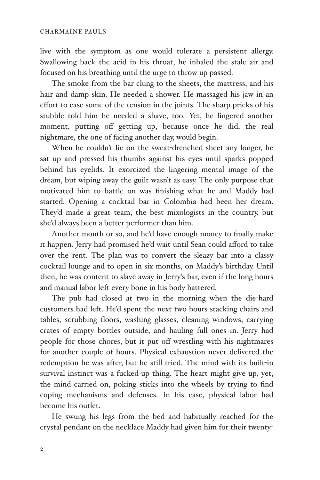live with the symptom as one would tolerate a persistent allergy. Swallowing back the acid in his throat, he inhaled the stale air and focused on his breathing until the urge to throw up passed.

The smoke from the bar clung to the sheets, the mattress, and his hair and damp skin. He needed a shower. He massaged his jaw in an effort to ease some of the tension in the joints. The sharp pricks of his stubble told him he needed a shave, too. Yet, he lingered another moment, putting off getting up, because once he did, the real nightmare, the one of facing another day, would begin.

When he couldn't lie on the sweat-drenched sheet any longer, he sat up and pressed his thumbs against his eyes until sparks popped behind his eyelids. It exorcized the lingering mental image of the dream, but wiping away the guilt wasn't as easy. The only purpose that motivated him to battle on was finishing what he and Maddy had started. Opening a cocktail bar in Colombia had been her dream. They'd made a great team, the best mixologists in the country, but she'd always been a better performer than him.

Another month or so, and he'd have enough money to finally make it happen. Jerry had promised he'd wait until Sean could afford to take over the rent. The plan was to convert the sleazy bar into a classy cocktail lounge and to open in six months, on Maddy's birthday. Until then, he was content to slave away in Jerry's bar, even if the long hours and manual labor left every bone in his body battered.

The pub had closed at two in the morning when the die-hard customers had left. He'd spent the next two hours stacking chairs and tables, scrubbing floors, washing glasses, cleaning windows, carrying crates of empty bottles outside, and hauling full ones in. Jerry had people for those chores, but it put off wrestling with his nightmares for another couple of hours. Physical exhaustion never delivered the redemption he was after, but he still tried. The mind with its built-in survival instinct was a fucked-up thing. The heart might give up, yet, the mind carried on, poking sticks into the wheels by trying to find coping mechanisms and defenses. In his case, physical labor had become his outlet.

He swung his legs from the bed and habitually reached for the crystal pendant on the necklace Maddy had given him for their twenty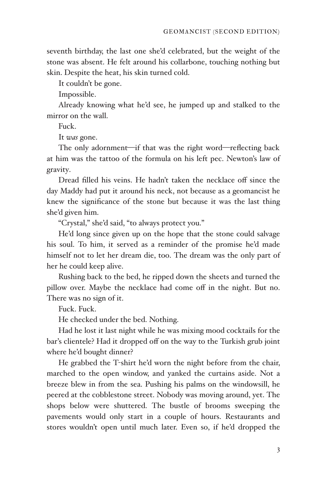seventh birthday, the last one she'd celebrated, but the weight of the stone was absent. He felt around his collarbone, touching nothing but skin. Despite the heat, his skin turned cold.

It couldn't be gone.

Impossible.

Already knowing what he'd see, he jumped up and stalked to the mirror on the wall.

Fuck.

It *was* gone.

The only adornment—if that was the right word—reflecting back at him was the tattoo of the formula on his left pec. Newton's law of gravity.

Dread filled his veins. He hadn't taken the necklace off since the day Maddy had put it around his neck, not because as a geomancist he knew the significance of the stone but because it was the last thing she'd given him.

"Crystal," she'd said, "to always protect you."

He'd long since given up on the hope that the stone could salvage his soul. To him, it served as a reminder of the promise he'd made himself not to let her dream die, too. The dream was the only part of her he could keep alive.

Rushing back to the bed, he ripped down the sheets and turned the pillow over. Maybe the necklace had come off in the night. But no. There was no sign of it.

Fuck. Fuck.

He checked under the bed. Nothing.

Had he lost it last night while he was mixing mood cocktails for the bar's clientele? Had it dropped off on the way to the Turkish grub joint where he'd bought dinner?

He grabbed the T-shirt he'd worn the night before from the chair, marched to the open window, and yanked the curtains aside. Not a breeze blew in from the sea. Pushing his palms on the windowsill, he peered at the cobblestone street. Nobody was moving around, yet. The shops below were shuttered. The bustle of brooms sweeping the pavements would only start in a couple of hours. Restaurants and stores wouldn't open until much later. Even so, if he'd dropped the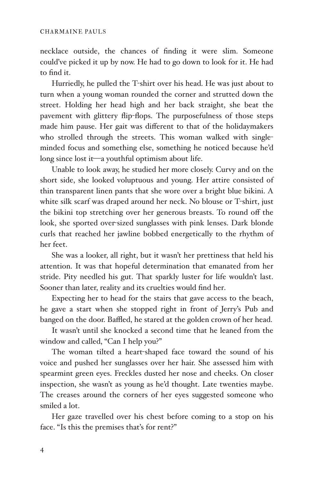necklace outside, the chances of finding it were slim. Someone could've picked it up by now. He had to go down to look for it. He had to find it.

Hurriedly, he pulled the T-shirt over his head. He was just about to turn when a young woman rounded the corner and strutted down the street. Holding her head high and her back straight, she beat the pavement with glittery flip-flops. The purposefulness of those steps made him pause. Her gait was different to that of the holidaymakers who strolled through the streets. This woman walked with singleminded focus and something else, something he noticed because he'd long since lost it-a youthful optimism about life.

Unable to look away, he studied her more closely. Curvy and on the short side, she looked voluptuous and young. Her attire consisted of thin transparent linen pants that she wore over a bright blue bikini. A white silk scarf was draped around her neck. No blouse or T-shirt, just the bikini top stretching over her generous breasts. To round off the look, she sported over sized sunglasses with pink lenses. Dark blonde curls that reached her jawline bobbed energetically to the rhythm of her feet.

She was a looker, all right, but it wasn't her prettiness that held his attention. It was that hopeful determination that emanated from her stride. Pity needled his gut. That sparkly luster for life wouldn't last. Sooner than later, reality and its cruelties would find her.

Expecting her to head for the stairs that gave access to the beach, he gave a start when she stopped right in front of Jerry's Pub and banged on the door. Baffled, he stared at the golden crown of her head.

It wasn't until she knocked a second time that he leaned from the window and called, "Can I help you?"

The woman tilted a heart-shaped face toward the sound of his voice and pushed her sunglasses over her hair. She assessed him with spearmint green eyes. Freckles dusted her nose and cheeks. On closer inspection, she wasn't as young as he'd thought. Late twenties maybe. The creases around the corners of her eyes suggested someone who smiled a lot.

Her gaze travelled over his chest before coming to a stop on his face. "Is this the premises that's for rent?"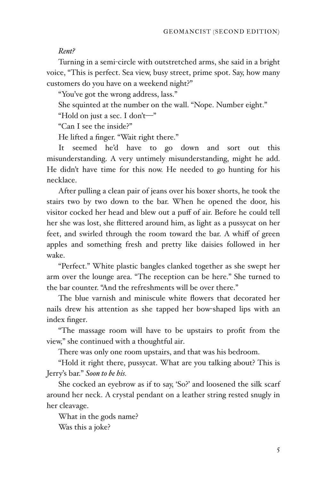### *Rent?*

Turning in a semi-circle with outstretched arms, she said in a bright voice, "This is perfect. Sea view, busy street, prime spot. Say, how many customers do you have on a weekend night?"

"You've got the wrong address, lass."

She squinted at the number on the wall. "Nope. Number eight."

"Hold on just a sec. I don't-"

"Can I see the inside?"

He lifted a finger. "Wait right there."

It seemed he'd have to go down and sort out this misunderstanding. A very untimely misunderstanding, might he add. He didn't have time for this now. He needed to go hunting for his necklace.

After pulling a clean pair of jeans over his boxer shorts, he took the stairs two by two down to the bar. When he opened the door, his visitor cocked her head and blew out a puff of air. Before he could tell her she was lost, she flittered around him, as light as a pussycat on her feet, and swirled through the room toward the bar. A whiff of green apples and something fresh and pretty like daisies followed in her wake.

"Perfect." White plastic bangles clanked together as she swept her arm over the lounge area. "The reception can be here." She turned to the bar counter. "And the refreshments will be over there."

The blue varnish and miniscule white flowers that decorated her nails drew his attention as she tapped her bow-shaped lips with an index finger.

"The massage room will have to be upstairs to profit from the view," she continued with a thoughtful air.

There was only one room upstairs, and that was his bedroom.

"Hold it right there, pussycat. What are you talking about? This is Jerry's bar." *Soon to be his.*

She cocked an eyebrow as if to say, 'So?' and loosened the silk scarf around her neck. A crystal pendant on a leather string rested snugly in her cleavage.

What in the gods name? Was this a joke?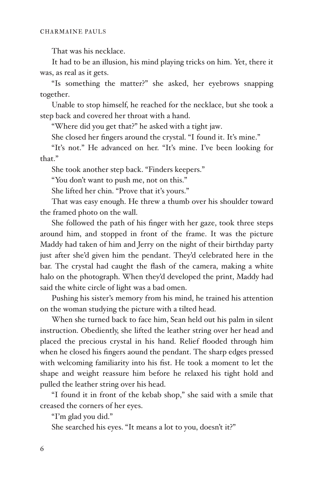That was his necklace.

It had to be an illusion, his mind playing tricks on him. Yet, there it was, as real as it gets.

"Is something the matter?" she asked, her eyebrows snapping together.

Unable to stop himself, he reached for the necklace, but she took a step back and covered her throat with a hand.

"Where did you get that?" he asked with a tight jaw.

She closed her fingers around the crystal. "I found it. It's mine."

"It's not." He advanced on her. "It's mine. I've been looking for that."

She took another step back. "Finders keepers."

"You don't want to push me, not on this."

She lifted her chin. "Prove that it's yours."

That was easy enough. He threw a thumb over his shoulder toward the framed photo on the wall.

She followed the path of his finger with her gaze, took three steps around him, and stopped in front of the frame. It was the picture Maddy had taken of him and Jerry on the night of their birthday party just after she'd given him the pendant. They'd celebrated here in the bar. The crystal had caught the flash of the camera, making a white halo on the photograph. When they'd developed the print, Maddy had said the white circle of light was a bad omen.

Pushing his sister's memory from his mind, he trained his attention on the woman studying the picture with a tilted head.

When she turned back to face him, Sean held out his palm in silent instruction. Obediently, she lifted the leather string over her head and placed the precious crystal in his hand. Relief flooded through him when he closed his fingers aound the pendant. The sharp edges pressed with welcoming familiarity into his fist. He took a moment to let the shape and weight reassure him before he relaxed his tight hold and pulled the leather string over his head.

"I found it in front of the kebab shop," she said with a smile that creased the corners of her eyes.

"I'm glad you did."

She searched his eyes. "It means a lot to you, doesn't it?"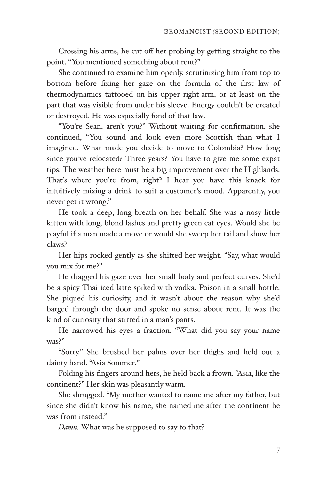Crossing his arms, he cut off her probing by getting straight to the point. "You mentioned something about rent?"

She continued to examine him openly, scrutinizing him from top to bottom before fixing her gaze on the formula of the first law of thermodynamics tattooed on his upper right-arm, or at least on the part that was visible from under his sleeve. Energy couldn't be created or destroyed. He was especially fond of that law.

"You're Sean, aren't you?" Without waiting for confirmation, she continued, "You sound and look even more Scottish than what I imagined. What made you decide to move to Colombia? How long since you've relocated? Three years? You have to give me some expat tips. The weather here must be a big improvement over the Highlands. That's where you're from, right? I hear you have this knack for intuitively mixing a drink to suit a customer's mood. Apparently, you never get it wrong."

He took a deep, long breath on her behalf. She was a nosy little kitten with long, blond lashes and pretty green cat eyes. Would she be playful if a man made a move or would she sweep her tail and show her claws?

Her hips rocked gently as she shifted her weight. "Say, what would you mix for me?"

He dragged his gaze over her small body and perfect curves. She'd be a spicy Thai iced latte spiked with vodka. Poison in a small bottle. She piqued his curiosity, and it wasn't about the reason why she'd barged through the door and spoke no sense about rent. It was the kind of curiosity that stirred in a man's pants.

He narrowed his eyes a fraction. "What did you say your name was?"

"Sorry." She brushed her palms over her thighs and held out a dainty hand. "Asia Sommer."

Folding his fingers around hers, he held back a frown. "Asia, like the continent?" Her skin was pleasantly warm.

She shrugged. "My mother wanted to name me after my father, but since she didn't know his name, she named me after the continent he was from instead."

*Damn.* What was he supposed to say to that?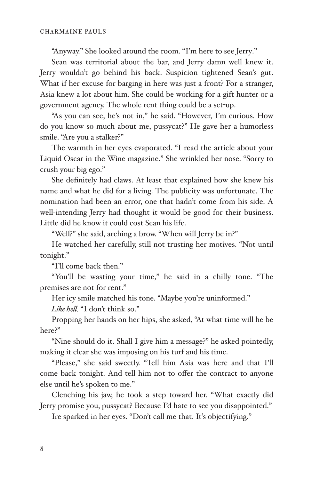"Anyway." She looked around the room. "I'm here to see Jerry."

Sean was territorial about the bar, and Jerry damn well knew it. Jerry wouldn't go behind his back. Suspicion tightened Sean's gut. What if her excuse for barging in here was just a front? For a stranger, Asia knew a lot about him. She could be working for a gift hunter or a government agency. The whole rent thing could be a set-up.

"As you can see, he's not in," he said. "However, I'm curious. How do you know so much about me, pussycat?" He gave her a humorless smile. "Are you a stalker?"

The warmth in her eyes evaporated. "I read the article about your Liquid Oscar in the Wine magazine." She wrinkled her nose. "Sorry to crush your big ego."

She definitely had claws. At least that explained how she knew his name and what he did for a living. The publicity was unfortunate. The nomination had been an error, one that hadn't come from his side. A well-intending Jerry had thought it would be good for their business. Little did he know it could cost Sean his life.

"Well?" she said, arching a brow. "When will Jerry be in?"

He watched her carefully, still not trusting her motives. "Not until tonight."

"I'll come back then."

"You'll be wasting your time," he said in a chilly tone. "The premises are not for rent."

Her icy smile matched his tone. "Maybe you're uninformed."

*Like he!.* "I don't think so."

Propping her hands on her hips, she asked, "At what time will he be here?"

"Nine should do it. Shall I give him a message?" he asked pointedly, making it clear she was imposing on his turf and his time.

"Please," she said sweetly. "Tell him Asia was here and that I'll come back tonight. And tell him not to offer the contract to anyone else until he's spoken to me."

Clenching his jaw, he took a step toward her. "What exactly did Jerry promise you, pussycat? Because I'd hate to see you disappointed."

Ire sparked in her eyes. "Don't call me that. It's objectifying."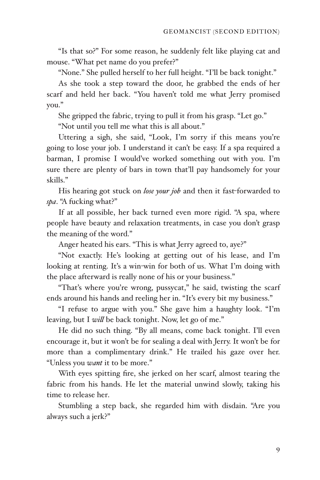"Is that so?" For some reason, he suddenly felt like playing cat and mouse. "What pet name do you prefer?"

"None." She pulled herself to her full height. "I'll be back tonight."

As she took a step toward the door, he grabbed the ends of her scarf and held her back. "You haven't told me what Jerry promised you."

She gripped the fabric, trying to pull it from his grasp. "Let go."

"Not until you tell me what this is all about."

Uttering a sigh, she said, "Look, I'm sorry if this means you're going to lose your job. I understand it can't be easy. If a spa required a barman, I promise I would've worked something out with you. I'm sure there are plenty of bars in town that'll pay handsomely for your skills."

His hearing got stuck on lose your job and then it fast-forwarded to *spa*. "A fucking what?"

If at all possible, her back turned even more rigid. "A spa, where people have beauty and relaxation treatments, in case you don't grasp the meaning of the word."

Anger heated his ears. "This is what Jerry agreed to, aye?"

"Not exactly. He's looking at getting out of his lease, and I'm looking at renting. It's a win-win for both of us. What I'm doing with the place afterward is really none of his or your business."

"That's where you're wrong, pussycat," he said, twisting the scarf ends around his hands and reeling her in. "It's every bit my business."

"I refuse to argue with you." She gave him a haughty look. "I'm leaving, but I *wi!* be back tonight. Now, let go of me."

He did no such thing. "By all means, come back tonight. I'll even encourage it, but it won't be for sealing a deal with Jerry. It won't be for more than a complimentary drink." He trailed his gaze over her. "Unless you *want* it to be more."

With eyes spitting fire, she jerked on her scarf, almost tearing the fabric from his hands. He let the material unwind slowly, taking his time to release her.

Stumbling a step back, she regarded him with disdain. "Are you always such a jerk?"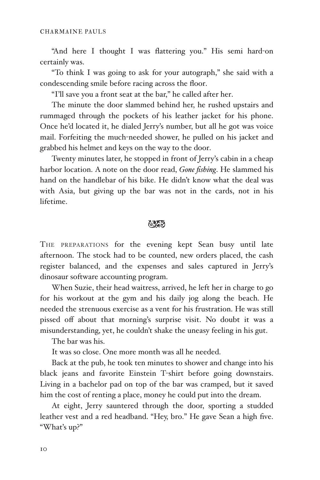"And here I thought I was flattering you." His semi hard-on certainly was.

"To think I was going to ask for your autograph," she said with a condescending smile before racing across the floor.

"I'll save you a front seat at the bar," he called after her.

The minute the door slammed behind her, he rushed upstairs and rummaged through the pockets of his leather jacket for his phone. Once he'd located it, he dialed Jerry's number, but all he got was voice mail. Forfeiting the much-needed shower, he pulled on his jacket and grabbed his helmet and keys on the way to the door.

Twenty minutes later, he stopped in front of Jerry's cabin in a cheap harbor location. A note on the door read, *Gone fishing*. He slammed his hand on the handlebar of his bike. He didn't know what the deal was with Asia, but giving up the bar was not in the cards, not in his lifetime.

## おとる

THE PREPARATIONS for the evening kept Sean busy until late afternoon. The stock had to be counted, new orders placed, the cash register balanced, and the expenses and sales captured in Jerry's dinosaur software accounting program.

When Suzie, their head waitress, arrived, he left her in charge to go for his workout at the gym and his daily jog along the beach. He needed the strenuous exercise as a vent for his frustration. He was still pissed off about that morning's surprise visit. No doubt it was a misunderstanding, yet, he couldn't shake the uneasy feeling in his gut.

The bar was his.

It was so close. One more month was all he needed.

Back at the pub, he took ten minutes to shower and change into his black jeans and favorite Einstein T-shirt before going downstairs. Living in a bachelor pad on top of the bar was cramped, but it saved him the cost of renting a place, money he could put into the dream.

At eight, Jerry sauntered through the door, sporting a studded leather vest and a red headband. "Hey, bro." He gave Sean a high five. "What's up?"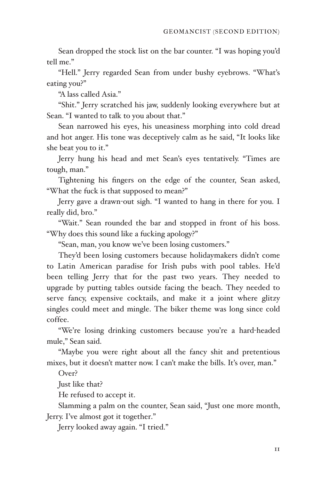Sean dropped the stock list on the bar counter. "I was hoping you'd tell me."

"Hell." Jerry regarded Sean from under bushy eyebrows. "What's eating you?"

"A lass called Asia."

"Shit." Jerry scratched his jaw, suddenly looking everywhere but at Sean. "I wanted to talk to you about that."

Sean narrowed his eyes, his uneasiness morphing into cold dread and hot anger. His tone was deceptively calm as he said, "It looks like she beat you to it."

Jerry hung his head and met Sean's eyes tentatively. "Times are tough, man."

Tightening his fingers on the edge of the counter, Sean asked, "What the fuck is that supposed to mean?"

Jerry gave a drawn-out sigh. "I wanted to hang in there for you. I really did, bro."

"Wait." Sean rounded the bar and stopped in front of his boss. "Why does this sound like a fucking apology?"

"Sean, man, you know we've been losing customers."

They'd been losing customers because holidaymakers didn't come to Latin American paradise for Irish pubs with pool tables. He'd been telling Jerry that for the past two years. They needed to upgrade by putting tables outside facing the beach. They needed to serve fancy, expensive cocktails, and make it a joint where glitzy singles could meet and mingle. The biker theme was long since cold coffee.

"We're losing drinking customers because you're a hard-headed mule," Sean said.

"Maybe you were right about all the fancy shit and pretentious mixes, but it doesn't matter now. I can't make the bills. It's over, man."

Over?

Just like that?

He refused to accept it.

Slamming a palm on the counter, Sean said, "Just one more month, Jerry. I've almost got it together."

Jerry looked away again. "I tried."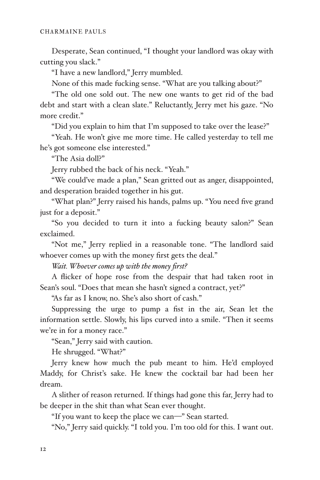Desperate, Sean continued, "I thought your landlord was okay with cutting you slack."

"I have a new landlord," Jerry mumbled.

None of this made fucking sense. "What are you talking about?"

"The old one sold out. The new one wants to get rid of the bad debt and start with a clean slate." Reluctantly, Jerry met his gaze. "No more credit."

"Did you explain to him that I'm supposed to take over the lease?"

"Yeah. He won't give me more time. He called yesterday to tell me he's got someone else interested."

"The Asia doll?"

Jerry rubbed the back of his neck. "Yeah."

"We could've made a plan," Sean gritted out as anger, disappointed, and desperation braided together in his gut.

"What plan?" Jerry raised his hands, palms up. "You need five grand just for a deposit."

"So you decided to turn it into a fucking beauty salon?" Sean exclaimed.

"Not me," Jerry replied in a reasonable tone. "The landlord said whoever comes up with the money first gets the deal."

*Wait. Whoever comes up with the money first?*

A flicker of hope rose from the despair that had taken root in Sean's soul. "Does that mean she hasn't signed a contract, yet?"

"As far as I know, no. She's also short of cash."

Suppressing the urge to pump a fist in the air, Sean let the information settle. Slowly, his lips curved into a smile. "Then it seems we're in for a money race."

"Sean," Jerry said with caution.

He shrugged. "What?"

Jerry knew how much the pub meant to him. He'd employed Maddy, for Christ's sake. He knew the cocktail bar had been her dream.

A slither of reason returned. If things had gone this far, Jerry had to be deeper in the shit than what Sean ever thought.

"If you want to keep the place we can-" Sean started.

"No," Jerry said quickly. "I told you. I'm too old for this. I want out.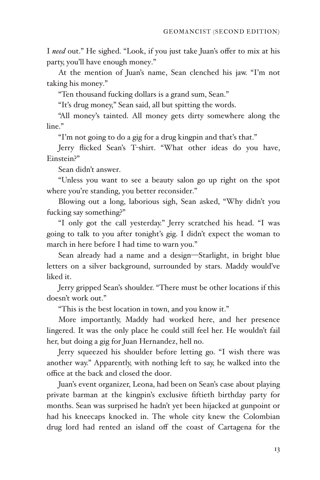I need out." He sighed. "Look, if you just take Juan's offer to mix at his party, you'll have enough money."

At the mention of Juan's name, Sean clenched his jaw. "I'm not taking his money."

"Ten thousand fucking dollars is a grand sum, Sean."

"It's drug money," Sean said, all but spitting the words.

"All money's tainted. All money gets dirty somewhere along the line."

"I'm not going to do a gig for a drug kingpin and that's that."

Jerry flicked Sean's T-shirt. "What other ideas do you have, Einstein?"

Sean didn't answer.

"Unless you want to see a beauty salon go up right on the spot where you're standing, you better reconsider."

Blowing out a long, laborious sigh, Sean asked, "Why didn't you fucking say something?"

"I only got the call yesterday." Jerry scratched his head. "I was going to talk to you after tonight's gig. I didn't expect the woman to march in here before I had time to warn you."

Sean already had a name and a design-Starlight, in bright blue letters on a silver background, surrounded by stars. Maddy would've liked it.

Jerry gripped Sean's shoulder. "There must be other locations if this doesn't work out."

"This is the best location in town, and you know it."

More importantly, Maddy had worked here, and her presence lingered. It was the only place he could still feel her. He wouldn't fail her, but doing a gig for Juan Hernandez, hell no.

Jerry squeezed his shoulder before letting go. "I wish there was another way." Apparently, with nothing left to say, he walked into the office at the back and closed the door.

Juan's event organizer, Leona, had been on Sean's case about playing private barman at the kingpin's exclusive fiftieth birthday party for months. Sean was surprised he hadn't yet been hijacked at gunpoint or had his kneecaps knocked in. The whole city knew the Colombian drug lord had rented an island off the coast of Cartagena for the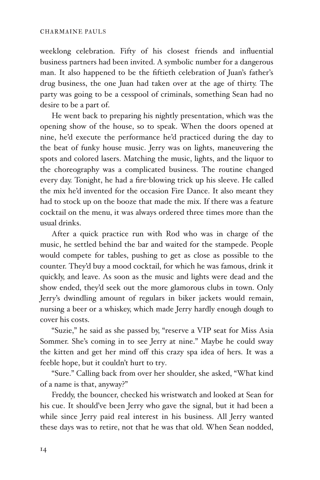### CHARMAINE PAULS

weeklong celebration. Fifty of his closest friends and influential business partners had been invited. A symbolic number for a dangerous man. It also happened to be the fiftieth celebration of Juan's father's drug business, the one Juan had taken over at the age of thirty. The party was going to be a cesspool of criminals, something Sean had no desire to be a part of.

He went back to preparing his nightly presentation, which was the opening show of the house, so to speak. When the doors opened at nine, he'd execute the performance he'd practiced during the day to the beat of funky house music. Jerry was on lights, maneuvering the spots and colored lasers. Matching the music, lights, and the liquor to the choreography was a complicated business. The routine changed every day. Tonight, he had a fire-blowing trick up his sleeve. He called the mix he'd invented for the occasion Fire Dance. It also meant they had to stock up on the booze that made the mix. If there was a feature cocktail on the menu, it was always ordered three times more than the usual drinks.

After a quick practice run with Rod who was in charge of the music, he settled behind the bar and waited for the stampede. People would compete for tables, pushing to get as close as possible to the counter. They'd buy a mood cocktail, for which he was famous, drink it quickly, and leave. As soon as the music and lights were dead and the show ended, they'd seek out the more glamorous clubs in town. Only Jerry's dwindling amount of regulars in biker jackets would remain, nursing a beer or a whiskey, which made Jerry hardly enough dough to cover his costs.

"Suzie," he said as she passed by, "reserve a VIP seat for Miss Asia Sommer. She's coming in to see Jerry at nine." Maybe he could sway the kitten and get her mind off this crazy spa idea of hers. It was a feeble hope, but it couldn't hurt to try.

"Sure." Calling back from over her shoulder, she asked, "What kind of a name is that, anyway?"

Freddy, the bouncer, checked his wristwatch and looked at Sean for his cue. It should've been Jerry who gave the signal, but it had been a while since Jerry paid real interest in his business. All Jerry wanted these days was to retire, not that he was that old. When Sean nodded,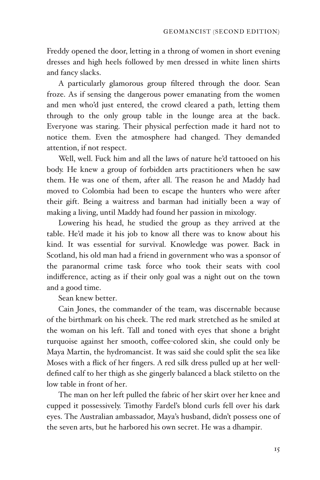Freddy opened the door, letting in a throng of women in short evening dresses and high heels followed by men dressed in white linen shirts and fancy slacks.

A particularly glamorous group filtered through the door. Sean froze. As if sensing the dangerous power emanating from the women and men who'd just entered, the crowd cleared a path, letting them through to the only group table in the lounge area at the back. Everyone was staring. Their physical perfection made it hard not to notice them. Even the atmosphere had changed. They demanded attention, if not respect.

Well, well. Fuck him and all the laws of nature he'd tattooed on his body. He knew a group of forbidden arts practitioners when he saw them. He was one of them, after all. The reason he and Maddy had moved to Colombia had been to escape the hunters who were after their gift. Being a waitress and barman had initially been a way of making a living, until Maddy had found her passion in mixology.

Lowering his head, he studied the group as they arrived at the table. He'd made it his job to know all there was to know about his kind. It was essential for survival. Knowledge was power. Back in Scotland, his old man had a friend in government who was a sponsor of the paranormal crime task force who took their seats with cool indifference, acting as if their only goal was a night out on the town and a good time.

Sean knew better.

Cain Jones, the commander of the team, was discernable because of the birthmark on his cheek. The red mark stretched as he smiled at the woman on his left. Tall and toned with eyes that shone a bright turquoise against her smooth, coffee-colored skin, she could only be Maya Martin, the hydromancist. It was said she could split the sea like Moses with a flick of her fingers. A red silk dress pulled up at her welldefined calf to her thigh as she gingerly balanced a black stiletto on the low table in front of her.

The man on her left pulled the fabric of her skirt over her knee and cupped it possessively. Timothy Fardel's blond curls fell over his dark eyes. The Australian ambassador, Maya's husband, didn't possess one of the seven arts, but he harbored his own secret. He was a dhampir.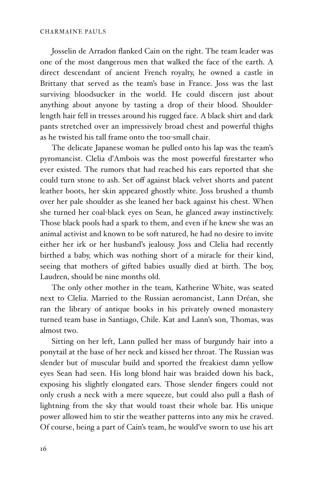### CHARMAINE PAULS

Josselin de Arradon flanked Cain on the right. The team leader was one of the most dangerous men that walked the face of the earth. A direct descendant of ancient French royalty, he owned a castle in Brittany that served as the team's base in France. Joss was the last surviving bloodsucker in the world. He could discern just about anything about anyone by tasting a drop of their blood. Shoulderlength hair fell in tresses around his rugged face. A black shirt and dark pants stretched over an impressively broad chest and powerful thighs as he twisted his tall frame onto the too-small chair.

The delicate Japanese woman he pulled onto his lap was the team's pyromancist. Clelia d'Ambois was the most powerful firestarter who ever existed. The rumors that had reached his ears reported that she could turn stone to ash. Set off against black velvet shorts and patent leather boots, her skin appeared ghostly white. Joss brushed a thumb over her pale shoulder as she leaned her back against his chest. When she turned her coal-black eyes on Sean, he glanced away instinctively. Those black pools had a spark to them, and even if he knew she was an animal activist and known to be soft natured, he had no desire to invite either her irk or her husband's jealousy. Joss and Clelia had recently birthed a baby, which was nothing short of a miracle for their kind, seeing that mothers of gifted babies usually died at birth. The boy, Laudren, should be nine months old.

The only other mother in the team, Katherine White, was seated next to Clelia. Married to the Russian aeromancist, Lann Dréan, she ran the library of antique books in his privately owned monastery turned team base in Santiago, Chile. Kat and Lann's son, Thomas, was almost two.

Sitting on her left, Lann pulled her mass of burgundy hair into a ponytail at the base of her neck and kissed her throat. The Russian was slender but of muscular build and sported the freakiest damn yellow eyes Sean had seen. His long blond hair was braided down his back, exposing his slightly elongated ears. Those slender fingers could not only crush a neck with a mere squeeze, but could also pull a flash of lightning from the sky that would toast their whole bar. His unique power allowed him to stir the weather patterns into any mix he craved. Of course, being a part of Cain's team, he would've sworn to use his art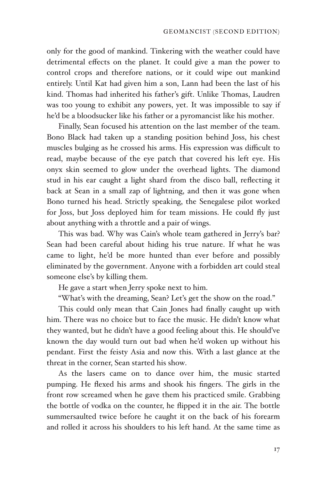only for the good of mankind. Tinkering with the weather could have detrimental effects on the planet. It could give a man the power to control crops and therefore nations, or it could wipe out mankind entirely. Until Kat had given him a son, Lann had been the last of his kind. Thomas had inherited his father's gift. Unlike Thomas, Laudren was too young to exhibit any powers, yet. It was impossible to say if he'd be a bloodsucker like his father or a pyromancist like his mother.

Finally, Sean focused his attention on the last member of the team. Bono Black had taken up a standing position behind Joss, his chest muscles bulging as he crossed his arms. His expression was difficult to read, maybe because of the eye patch that covered his left eye. His onyx skin seemed to glow under the overhead lights. The diamond stud in his ear caught a light shard from the disco ball, reflecting it back at Sean in a small zap of lightning, and then it was gone when Bono turned his head. Strictly speaking, the Senegalese pilot worked for Joss, but Joss deployed him for team missions. He could fly just about anything with a throttle and a pair of wings.

This was bad. Why was Cain's whole team gathered in Jerry's bar? Sean had been careful about hiding his true nature. If what he was came to light, he'd be more hunted than ever before and possibly eliminated by the government. Anyone with a forbidden art could steal someone else's by killing them.

He gave a start when Jerry spoke next to him.

"What's with the dreaming, Sean? Let's get the show on the road."

This could only mean that Cain Jones had finally caught up with him. There was no choice but to face the music. He didn't know what they wanted, but he didn't have a good feeling about this. He should've known the day would turn out bad when he'd woken up without his pendant. First the feisty Asia and now this. With a last glance at the threat in the corner, Sean started his show.

As the lasers came on to dance over him, the music started pumping. He flexed his arms and shook his fingers. The girls in the front row screamed when he gave them his practiced smile. Grabbing the bottle of vodka on the counter, he flipped it in the air. The bottle summersaulted twice before he caught it on the back of his forearm and rolled it across his shoulders to his left hand. At the same time as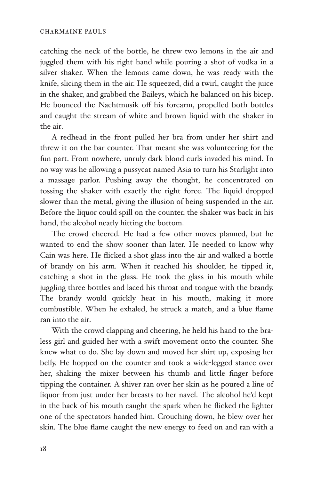catching the neck of the bottle, he threw two lemons in the air and juggled them with his right hand while pouring a shot of vodka in a silver shaker. When the lemons came down, he was ready with the knife, slicing them in the air. He squeezed, did a twirl, caught the juice in the shaker, and grabbed the Baileys, which he balanced on his bicep. He bounced the Nachtmusik off his forearm, propelled both bottles and caught the stream of white and brown liquid with the shaker in the air.

A redhead in the front pulled her bra from under her shirt and threw it on the bar counter. That meant she was volunteering for the fun part. From nowhere, unruly dark blond curls invaded his mind. In no way was he allowing a pussycat named Asia to turn his Starlight into a massage parlor. Pushing away the thought, he concentrated on tossing the shaker with exactly the right force. The liquid dropped slower than the metal, giving the illusion of being suspended in the air. Before the liquor could spill on the counter, the shaker was back in his hand, the alcohol neatly hitting the bottom.

The crowd cheered. He had a few other moves planned, but he wanted to end the show sooner than later. He needed to know why Cain was here. He flicked a shot glass into the air and walked a bottle of brandy on his arm. When it reached his shoulder, he tipped it, catching a shot in the glass. He took the glass in his mouth while juggling three bottles and laced his throat and tongue with the brandy. The brandy would quickly heat in his mouth, making it more combustible. When he exhaled, he struck a match, and a blue flame ran into the air.

With the crowd clapping and cheering, he held his hand to the braless girl and guided her with a swift movement onto the counter. She knew what to do. She lay down and moved her shirt up, exposing her belly. He hopped on the counter and took a wide-legged stance over her, shaking the mixer between his thumb and little finger before tipping the container. A shiver ran over her skin as he poured a line of liquor from just under her breasts to her navel. The alcohol he'd kept in the back of his mouth caught the spark when he flicked the lighter one of the spectators handed him. Crouching down, he blew over her skin. The blue flame caught the new energy to feed on and ran with a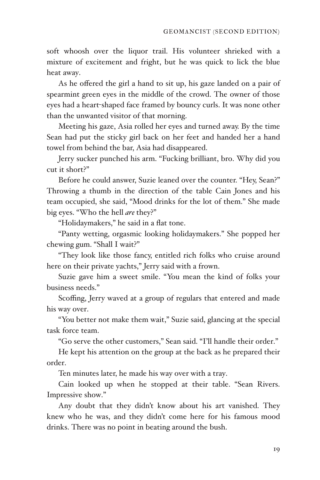soft whoosh over the liquor trail. His volunteer shrieked with a mixture of excitement and fright, but he was quick to lick the blue heat away.

As he offered the girl a hand to sit up, his gaze landed on a pair of spearmint green eyes in the middle of the crowd. The owner of those eyes had a heart-shaped face framed by bouncy curls. It was none other than the unwanted visitor of that morning.

Meeting his gaze, Asia rolled her eyes and turned away. By the time Sean had put the sticky girl back on her feet and handed her a hand towel from behind the bar, Asia had disappeared.

Jerry sucker punched his arm. "Fucking brilliant, bro. Why did you cut it short?"

Before he could answer, Suzie leaned over the counter. "Hey, Sean?" Throwing a thumb in the direction of the table Cain Jones and his team occupied, she said, "Mood drinks for the lot of them." She made big eyes. "Who the hell *are* they?"

"Holidaymakers," he said in a flat tone.

"Panty wetting, orgasmic looking holidaymakers." She popped her chewing gum. "Shall I wait?"

"They look like those fancy, entitled rich folks who cruise around here on their private yachts," Jerry said with a frown.

Suzie gave him a sweet smile. "You mean the kind of folks your business needs."

Scoffing, Jerry waved at a group of regulars that entered and made his way over.

"You better not make them wait," Suzie said, glancing at the special task force team.

"Go serve the other customers," Sean said. "I'll handle their order."

He kept his attention on the group at the back as he prepared their order.

Ten minutes later, he made his way over with a tray.

Cain looked up when he stopped at their table. "Sean Rivers. Impressive show."

Any doubt that they didn't know about his art vanished. They knew who he was, and they didn't come here for his famous mood drinks. There was no point in beating around the bush.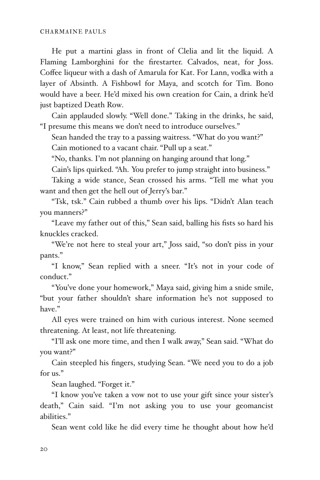He put a martini glass in front of Clelia and lit the liquid. A Flaming Lamborghini for the firestarter. Calvados, neat, for Joss. Coffee liqueur with a dash of Amarula for Kat. For Lann, vodka with a layer of Absinth. A Fishbowl for Maya, and scotch for Tim. Bono would have a beer. He'd mixed his own creation for Cain, a drink he'd just baptized Death Row.

Cain applauded slowly. "Well done." Taking in the drinks, he said, "I presume this means we don't need to introduce ourselves."

Sean handed the tray to a passing waitress. "What do you want?" Cain motioned to a vacant chair. "Pull up a seat."

"No, thanks. I'm not planning on hanging around that long."

Cain's lips quirked. "Ah. You prefer to jump straight into business."

Taking a wide stance, Sean crossed his arms. "Tell me what you want and then get the hell out of Jerry's bar."

"Tsk, tsk." Cain rubbed a thumb over his lips. "Didn't Alan teach you manners?"

"Leave my father out of this," Sean said, balling his fists so hard his knuckles cracked.

"We're not here to steal your art," Joss said, "so don't piss in your pants."

"I know," Sean replied with a sneer. "It's not in your code of conduct."

"You've done your homework," Maya said, giving him a snide smile, "but your father shouldn't share information he's not supposed to have."

All eyes were trained on him with curious interest. None seemed threatening. At least, not life threatening.

"I'll ask one more time, and then I walk away," Sean said. "What do you want?"

Cain steepled his fingers, studying Sean. "We need you to do a job for us."

Sean laughed. "Forget it."

"I know you've taken a vow not to use your gift since your sister's death," Cain said. "I'm not asking you to use your geomancist abilities."

Sean went cold like he did every time he thought about how he'd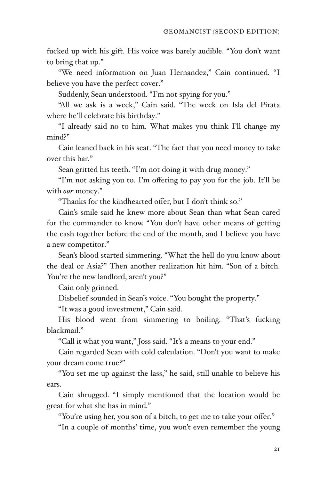fucked up with his gift. His voice was barely audible. "You don't want to bring that up."

"We need information on Juan Hernandez," Cain continued. "I believe you have the perfect cover."

Suddenly, Sean understood. "I'm not spying for you."

"All we ask is a week," Cain said. "The week on Isla del Pirata where he'll celebrate his birthday."

"I already said no to him. What makes you think I'll change my mind?"

Cain leaned back in his seat. "The fact that you need money to take over this bar."

Sean gritted his teeth. "I'm not doing it with drug money."

"I'm not asking you to. I'm offering to pay you for the job. It'll be with *our* money."

"Thanks for the kindhearted offer, but I don't think so."

Cain's smile said he knew more about Sean than what Sean cared for the commander to know. "You don't have other means of getting the cash together before the end of the month, and I believe you have a new competitor."

Sean's blood started simmering. "What the hell do you know about the deal or Asia?" Then another realization hit him. "Son of a bitch. You're the new landlord, aren't you?"

Cain only grinned.

Disbelief sounded in Sean's voice. "You bought the property."

"It was a good investment," Cain said.

His blood went from simmering to boiling. "That's fucking blackmail."

"Call it what you want," Joss said. "It's a means to your end."

Cain regarded Sean with cold calculation. "Don't you want to make your dream come true?"

"You set me up against the lass," he said, still unable to believe his ears.

Cain shrugged. "I simply mentioned that the location would be great for what she has in mind."

"You're using her, you son of a bitch, to get me to take your offer."

"In a couple of months' time, you won't even remember the young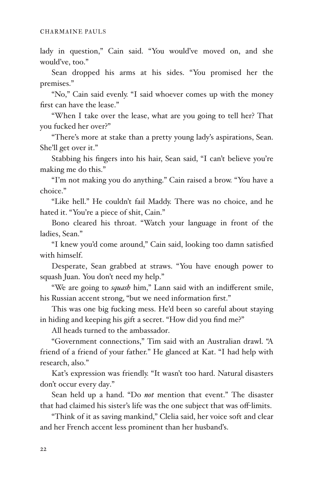lady in question," Cain said. "You would've moved on, and she would've, too."

Sean dropped his arms at his sides. "You promised her the premises."

"No," Cain said evenly. "I said whoever comes up with the money first can have the lease."

"When I take over the lease, what are you going to tell her? That you fucked her over?"

"There's more at stake than a pretty young lady's aspirations, Sean. She'll get over it."

Stabbing his fingers into his hair, Sean said, "I can't believe you're making me do this."

"I'm not making you do anything." Cain raised a brow. "You have a choice."

"Like hell." He couldn't fail Maddy. There was no choice, and he hated it. "You're a piece of shit, Cain."

Bono cleared his throat. "Watch your language in front of the ladies, Sean."

"I knew you'd come around," Cain said, looking too damn satisfied with himself.

Desperate, Sean grabbed at straws. "You have enough power to squash Juan. You don't need my help."

"We are going to *squash* him," Lann said with an indifferent smile, his Russian accent strong, "but we need information first."

This was one big fucking mess. He'd been so careful about staying in hiding and keeping his gift a secret. "How did you find me?"

All heads turned to the ambassador.

"Government connections," Tim said with an Australian drawl. "A friend of a friend of your father." He glanced at Kat. "I had help with research, also."

Kat's expression was friendly. "It wasn't too hard. Natural disasters don't occur every day."

Sean held up a hand. "Do *not* mention that event." The disaster that had claimed his sister's life was the one subject that was off-limits.

"Think of it as saving mankind," Clelia said, her voice soft and clear and her French accent less prominent than her husband's.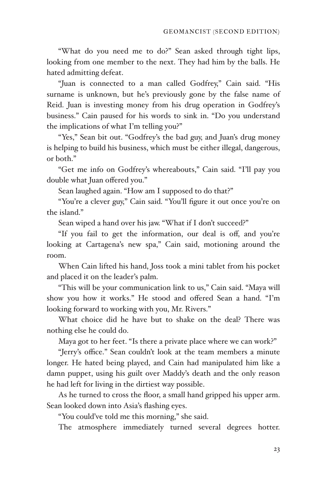"What do you need me to do?" Sean asked through tight lips, looking from one member to the next. They had him by the balls. He hated admitting defeat.

"Juan is connected to a man called Godfrey," Cain said. "His surname is unknown, but he's previously gone by the false name of Reid. Juan is investing money from his drug operation in Godfrey's business." Cain paused for his words to sink in. "Do you understand the implications of what I'm telling you?"

"Yes," Sean bit out. "Godfrey's the bad guy, and Juan's drug money is helping to build his business, which must be either illegal, dangerous, or both."

"Get me info on Godfrey's whereabouts," Cain said. "I'll pay you double what Juan offered you."

Sean laughed again. "How am I supposed to do that?"

"You're a clever guy," Cain said. "You'll figure it out once you're on the island."

Sean wiped a hand over his jaw. "What if I don't succeed?"

"If you fail to get the information, our deal is off, and you're looking at Cartagena's new spa," Cain said, motioning around the room.

When Cain lifted his hand, Joss took a mini tablet from his pocket and placed it on the leader's palm.

"This will be your communication link to us," Cain said. "Maya will show you how it works." He stood and offered Sean a hand. "I'm looking forward to working with you, Mr. Rivers."

What choice did he have but to shake on the deal? There was nothing else he could do.

Maya got to her feet. "Is there a private place where we can work?"

"Jerry's office." Sean couldn't look at the team members a minute longer. He hated being played, and Cain had manipulated him like a damn puppet, using his guilt over Maddy's death and the only reason he had left for living in the dirtiest way possible.

As he turned to cross the floor, a small hand gripped his upper arm. Sean looked down into Asia's flashing eyes.

"You could've told me this morning," she said.

The atmosphere immediately turned several degrees hotter.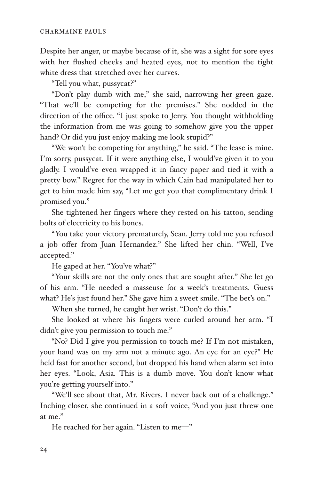Despite her anger, or maybe because of it, she was a sight for sore eyes with her flushed cheeks and heated eyes, not to mention the tight white dress that stretched over her curves.

"Tell you what, pussycat?"

"Don't play dumb with me," she said, narrowing her green gaze. "That we'll be competing for the premises." She nodded in the direction of the office. "I just spoke to Jerry. You thought withholding the information from me was going to somehow give you the upper hand? Or did you just enjoy making me look stupid?"

"We won't be competing for anything," he said. "The lease is mine. I'm sorry, pussycat. If it were anything else, I would've given it to you gladly. I would've even wrapped it in fancy paper and tied it with a pretty bow." Regret for the way in which Cain had manipulated her to get to him made him say, "Let me get you that complimentary drink I promised you."

She tightened her fingers where they rested on his tattoo, sending bolts of electricity to his bones.

"You take your victory prematurely, Sean. Jerry told me you refused a job offer from Juan Hernandez." She lifted her chin. "Well, I've accepted."

He gaped at her. "You've what?"

"Your skills are not the only ones that are sought after." She let go of his arm. "He needed a masseuse for a week's treatments. Guess what? He's just found her." She gave him a sweet smile. "The bet's on."

When she turned, he caught her wrist. "Don't do this."

She looked at where his fingers were curled around her arm. "I didn't give you permission to touch me."

"No? Did I give you permission to touch me? If I'm not mistaken, your hand was on my arm not a minute ago. An eye for an eye?" He held fast for another second, but dropped his hand when alarm set into her eyes. "Look, Asia. This is a dumb move. You don't know what you're getting yourself into."

"We'll see about that, Mr. Rivers. I never back out of a challenge." Inching closer, she continued in a soft voice, "And you just threw one at me."

He reached for her again. "Listen to me-"